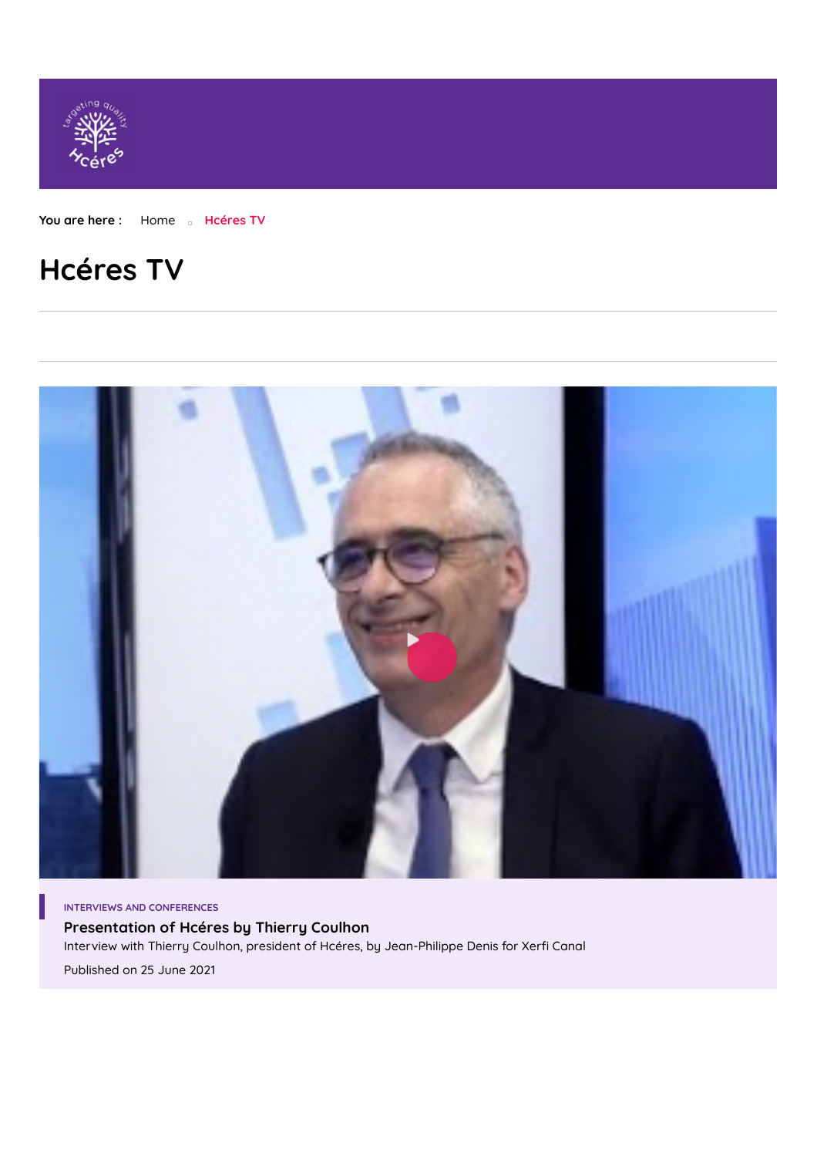

**You are here :** [Home](https://www.hceres.fr/en) **Hcéres TV**

# **Hcéres TV**



**[Presentation](https://www.hceres.fr/en/web_tv/presentation-hceres-thierry-coulhon) of Hcéres by Thierry Coulhon** Interview with Thierry Coulhon, president of Hcéres, by Jean-Philippe Denis for Xerfi Canal Published on 25 June 2021 **INTERVIEWS AND CONFERENCES**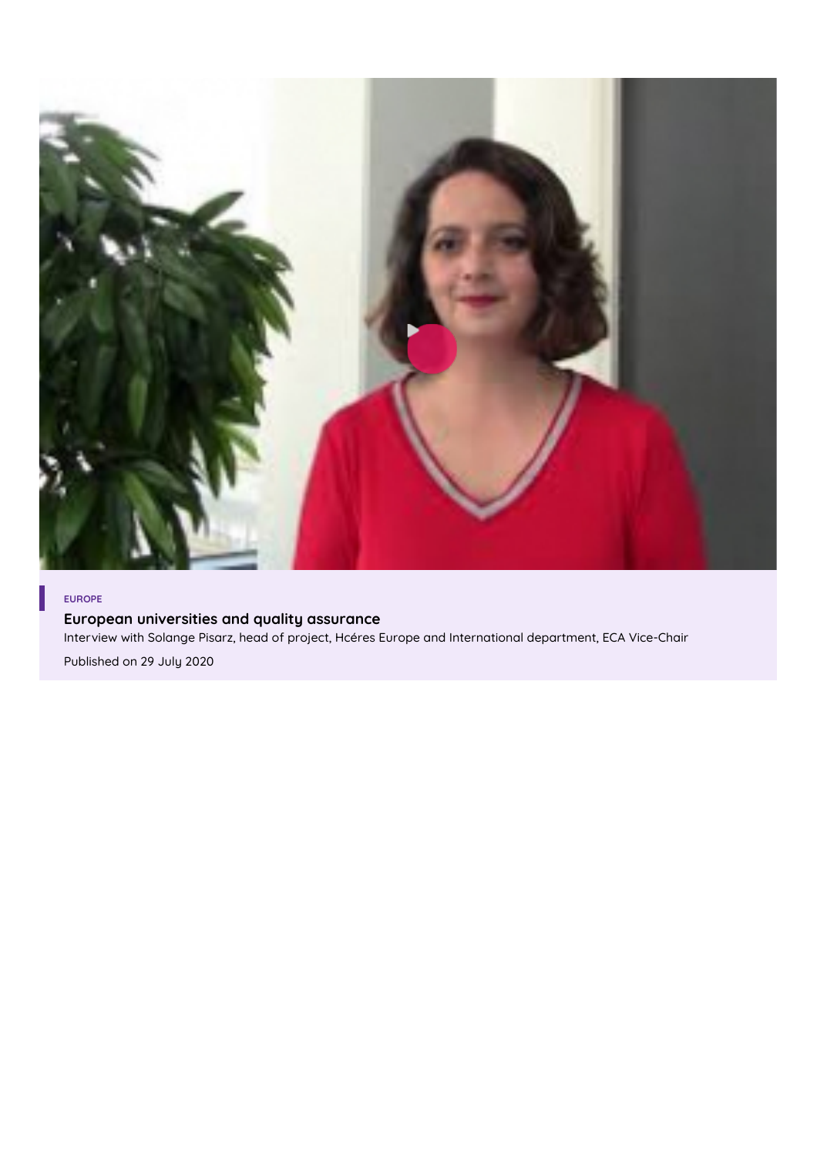

## **EUROPE**

**European [universities](https://www.hceres.fr/en/web_tv/european-universities-and-quality-assurance) and quality assurance**

Interview with Solange Pisarz, head of project, Hcéres Europe and International department, ECA Vice-Chair

Published on 29 July 2020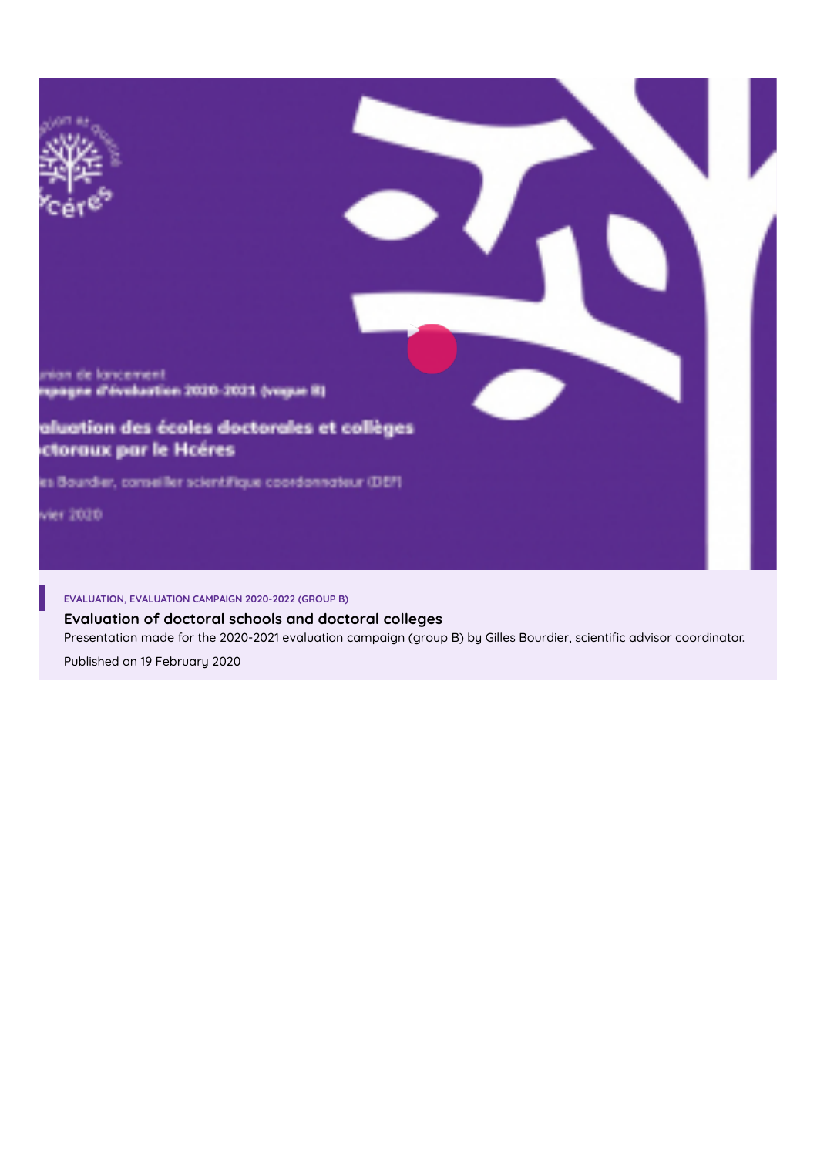

**[Evaluation](https://www.hceres.fr/en/web_tv/evaluation-doctoral-schools-and-doctoral-colleges) of doctoral schools and doctoral colleges** Presentation made for the 2020-2021 evaluation campaign (group B) by Gilles Bourdier, scientific advisor coordinator.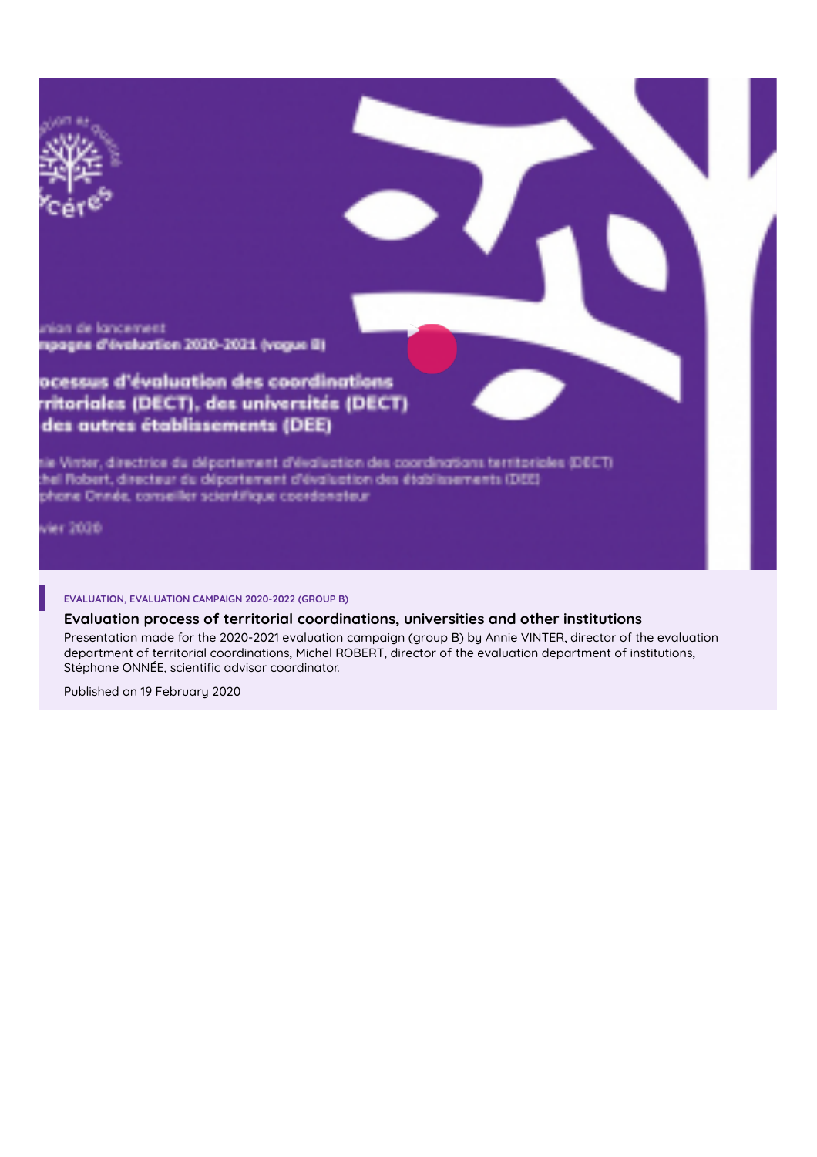

### **Evaluation process of territorial [coordinations,](https://www.hceres.fr/en/web_tv/evaluation-process-territorial-coordinations-universities-and-other-institutions) universities and other institutions**

Presentation made for the 2020-2021 evaluation campaign (group B) by Annie VINTER, director of the evaluation department of territorial coordinations, Michel ROBERT, director of the evaluation department of institutions, Stéphane ONNÉE, scientific advisor coordinator.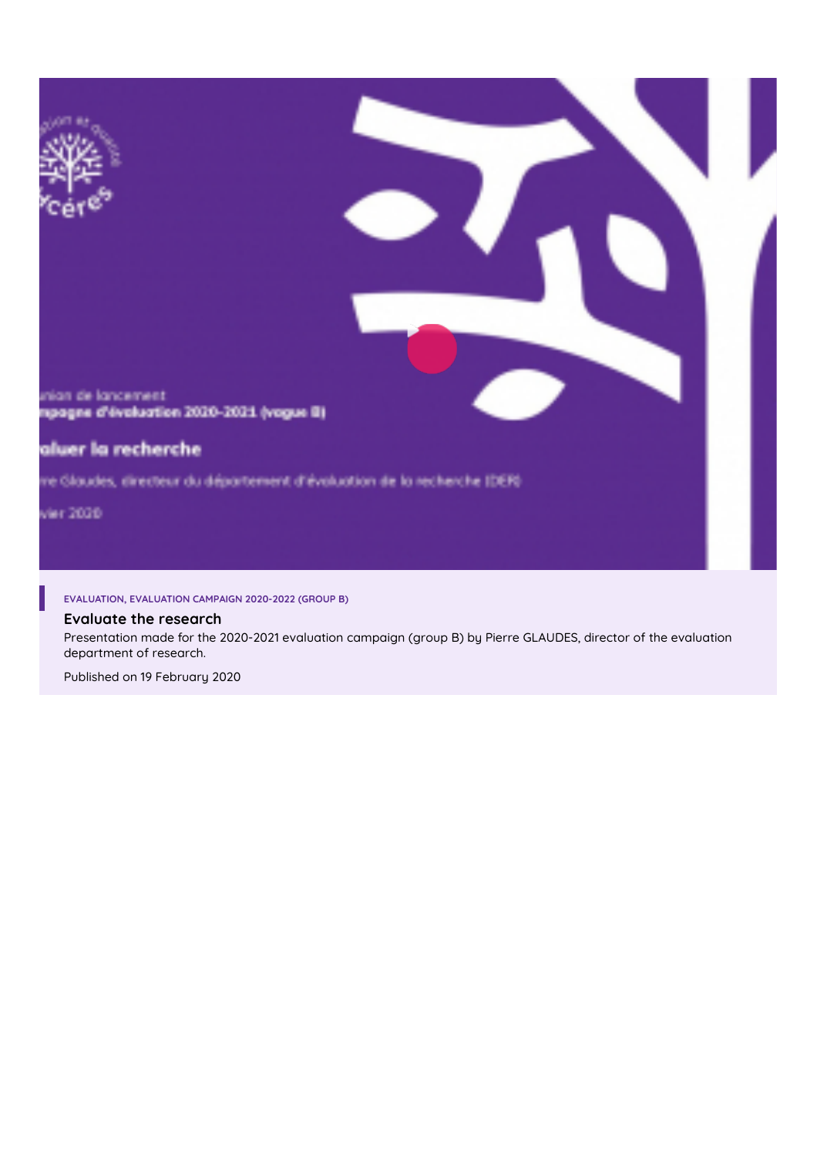

## **Evaluate the [research](https://www.hceres.fr/en/web_tv/evaluate-research)**

Presentation made for the 2020-2021 evaluation campaign (group B) by Pierre GLAUDES, director of the evaluation department of research.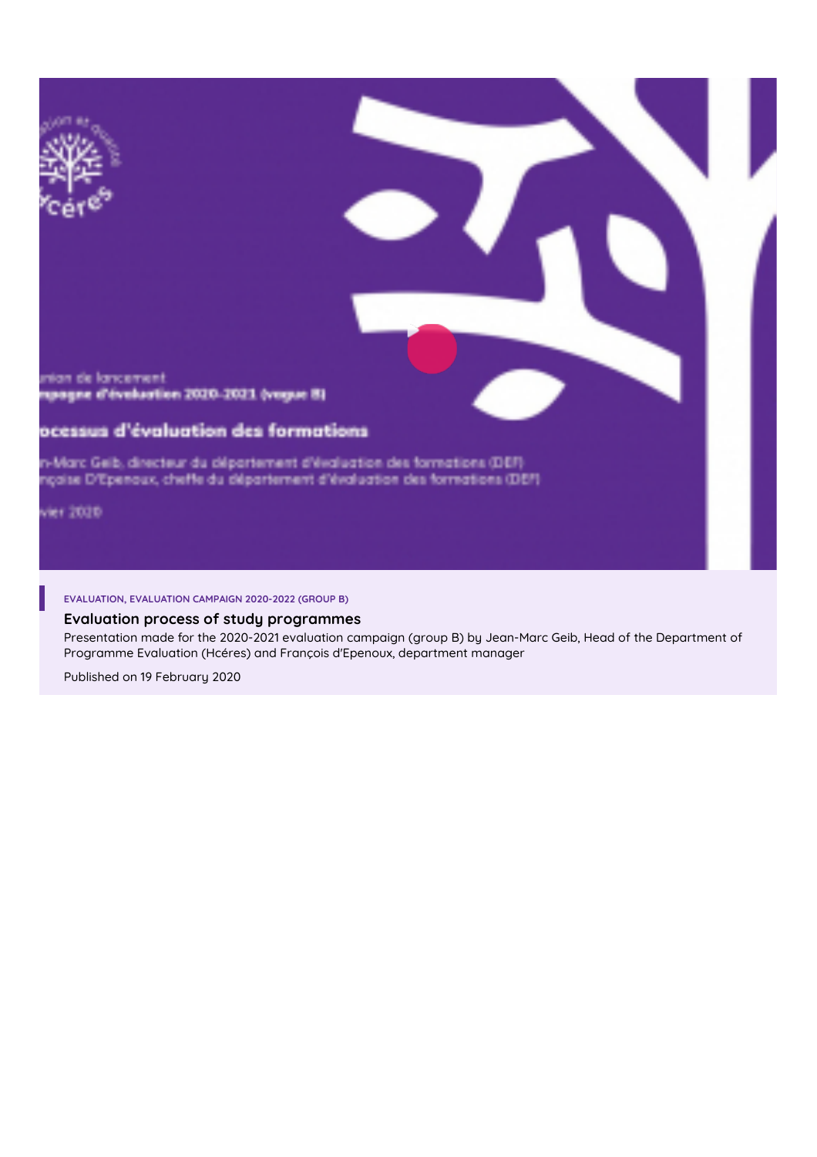

# **Evaluation process of study [programmes](https://www.hceres.fr/en/web_tv/evaluation-process-study-programmes)**

Presentation made for the 2020-2021 evaluation campaign (group B) by Jean-Marc Geib, Head of the Department of Programme Evaluation (Hcéres) and François d'Epenoux, department manager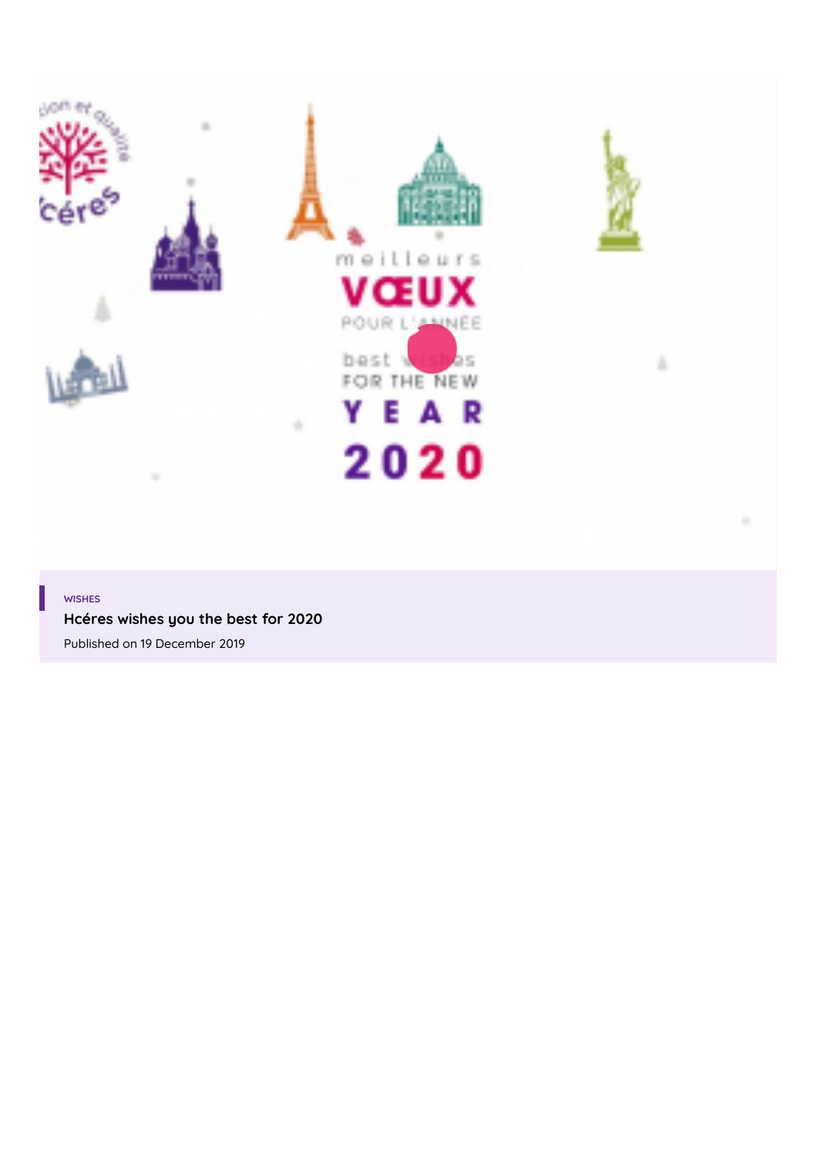

#### **WISHES**

**Hcéres wishes you the best for 2020**

Published on 19 [December](https://www.hceres.fr/en/web_tv/hceres-wishes-you-best-2020) 2019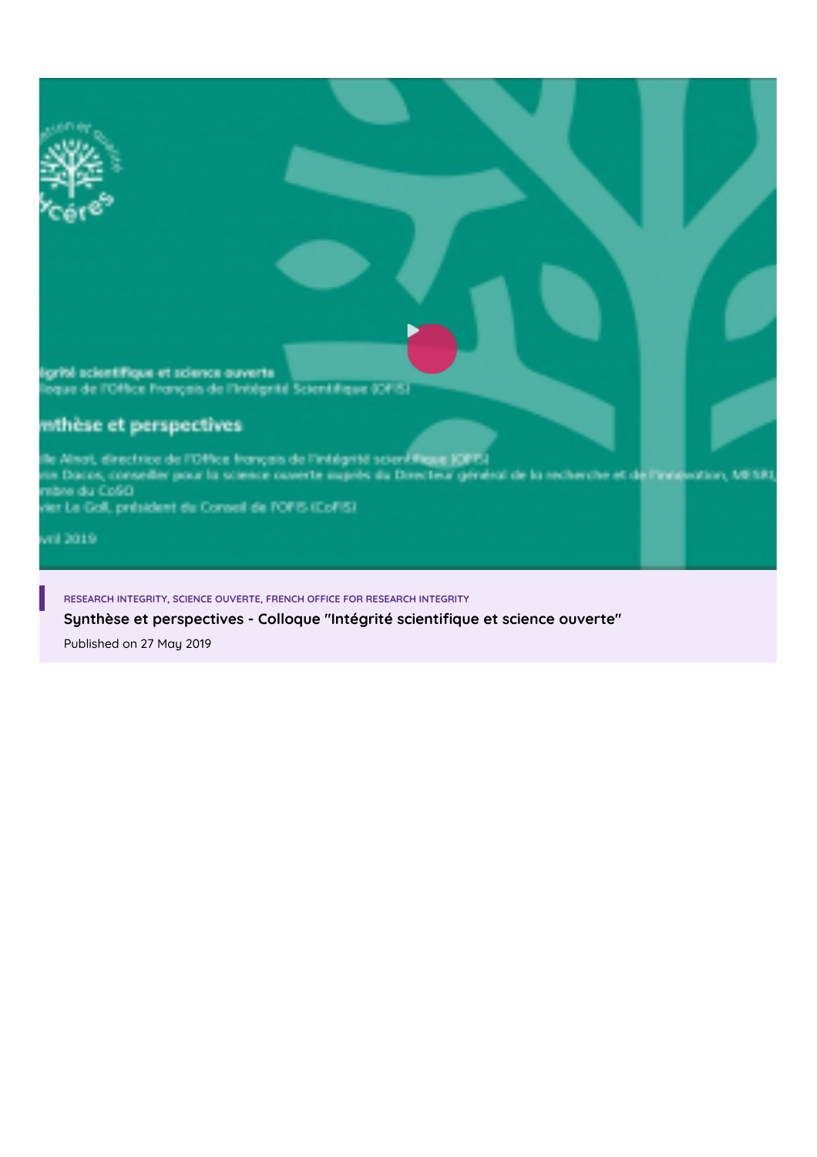igriti scientifique et science ouverte oque de l'Office Français de l'Intégrité Scientifique (OFIS)

# mthèse et perspectives

lle Almot, directrice de l'Office français de l'intégrité scientifique IQFE-I nia Dacos, conseiller pour la science cuverte auprès du Directeur général de la recherche et de l'exposation, MESRI<br>mibre du CoSO<br>vier Le Goll, président du Conseil de l'OFIS (CoFIS)

stick in-

**RESEARCH INTEGRITY, SCIENCE OUVERTE, FRENCH OFFICE FOR RESEARCH INTEGRITY**

**Synthèse et [perspectives](https://www.hceres.fr/en/web_tv/synthese-et-perspectives-colloque-integrite-scientifique-et-science-ouverte) - Colloque "Intégrité scienti7que et science ouverte"**

Published on 27 May 2019